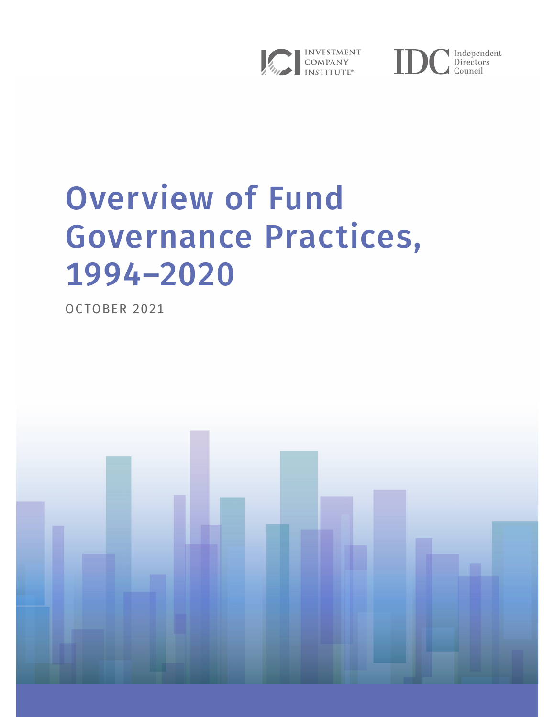



# Overview of Fund Governance Practices, 1994–2020

OCTOBER 2021

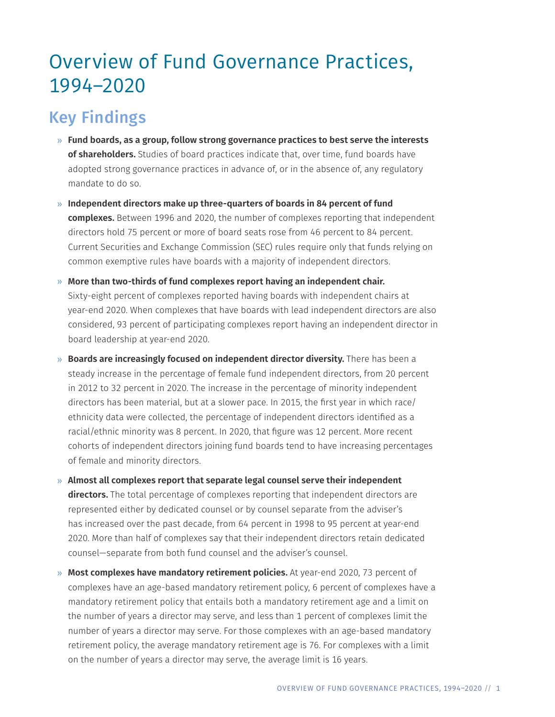# Overview of Fund Governance Practices, 1994–2020

# Key Findings

- » **Fund boards, as a group, follow strong governance practices to best serve the interests of shareholders.** Studies of board practices indicate that, over time, fund boards have adopted strong governance practices in advance of, or in the absence of, any regulatory mandate to do so.
- » **Independent directors make up three-quarters of boards in 84 percent of fund complexes.** Between 1996 and 2020, the number of complexes reporting that independent directors hold 75 percent or more of board seats rose from 46 percent to 84 percent. Current Securities and Exchange Commission (SEC) rules require only that funds relying on common exemptive rules have boards with a majority of independent directors.
- » **More than two-thirds of fund complexes report having an independent chair.**  Sixty-eight percent of complexes reported having boards with independent chairs at year-end 2020. When complexes that have boards with lead independent directors are also considered, 93 percent of participating complexes report having an independent director in board leadership at year-end 2020.
- » **Boards are increasingly focused on independent director diversity.** There has been a steady increase in the percentage of female fund independent directors, from 20 percent in 2012 to 32 percent in 2020. The increase in the percentage of minority independent directors has been material, but at a slower pace. In 2015, the first year in which race/ ethnicity data were collected, the percentage of independent directors identified as a racial/ethnic minority was 8 percent. In 2020, that figure was 12 percent. More recent cohorts of independent directors joining fund boards tend to have increasing percentages of female and minority directors.
- » **Almost all complexes report that separate legal counsel serve their independent directors.** The total percentage of complexes reporting that independent directors are represented either by dedicated counsel or by counsel separate from the adviser's has increased over the past decade, from 64 percent in 1998 to 95 percent at year-end 2020. More than half of complexes say that their independent directors retain dedicated counsel—separate from both fund counsel and the adviser's counsel.
- » **Most complexes have mandatory retirement policies.** At year-end 2020, 73 percent of complexes have an age-based mandatory retirement policy, 6 percent of complexes have a mandatory retirement policy that entails both a mandatory retirement age and a limit on the number of years a director may serve, and less than 1 percent of complexes limit the number of years a director may serve. For those complexes with an age-based mandatory retirement policy, the average mandatory retirement age is 76. For complexes with a limit on the number of years a director may serve, the average limit is 16 years.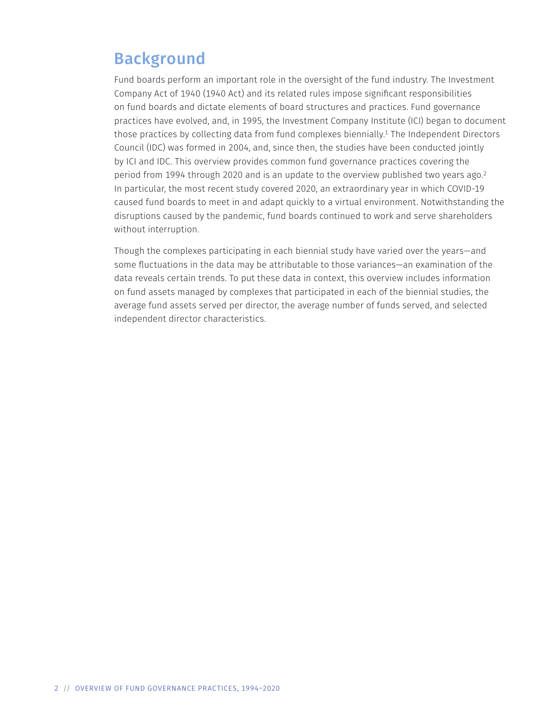# Background

Fund boards perform an important role in the oversight of the fund industry. The Investment Company Act of 1940 (1940 Act) and its related rules impose significant responsibilities on fund boards and dictate elements of board structures and practices. Fund governance practices have evolved, and, in 1995, the Investment Company Institute (ICI) began to document those practices by collecting data from fund complexes biennially.<sup>1</sup> The Independent Directors Council (IDC) was formed in 2004, and, since then, the studies have been conducted jointly by ICI and IDC. This overview provides common fund governance practices covering the period from 1994 through 2020 and is an update to the overview published two years ago.<sup>2</sup> In particular, the most recent study covered 2020, an extraordinary year in which COVID-19 caused fund boards to meet in and adapt quickly to a virtual environment. Notwithstanding the disruptions caused by the pandemic, fund boards continued to work and serve shareholders without interruption.

Though the complexes participating in each biennial study have varied over the years—and some fluctuations in the data may be attributable to those variances—an examination of the data reveals certain trends. To put these data in context, this overview includes information on fund assets managed by complexes that participated in each of the biennial studies, the average fund assets served per director, the average number of funds served, and selected independent director characteristics.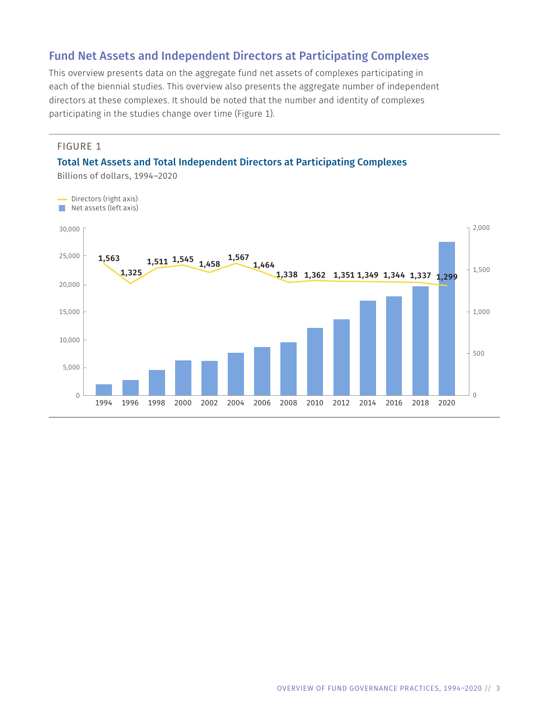# Fund Net Assets and Independent Directors at Participating Complexes

This overview presents data on the aggregate fund net assets of complexes participating in each of the biennial studies. This overview also presents the aggregate number of independent directors at these complexes. It should be noted that the number and identity of complexes participating in the studies change over time (Figure 1).

#### FIGURE 1

#### Total Net Assets and Total Independent Directors at Participating Complexes



Billions of dollars, 1994–2020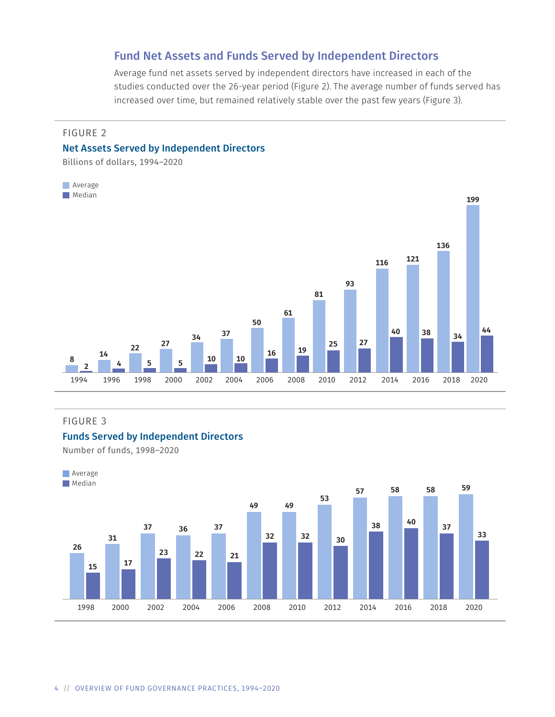### Fund Net Assets and Funds Served by Independent Directors

Average fund net assets served by independent directors have increased in each of the studies conducted over the 26-year period (Figure 2). The average number of funds served has increased over time, but remained relatively stable over the past few years (Figure 3).

#### FIGURE 2

#### Net Assets Served by Independent Directors

Billions of dollars, 1994–2020



#### FIGURE 3

#### Funds Served by Independent Directors

Number of funds, 1998–2020

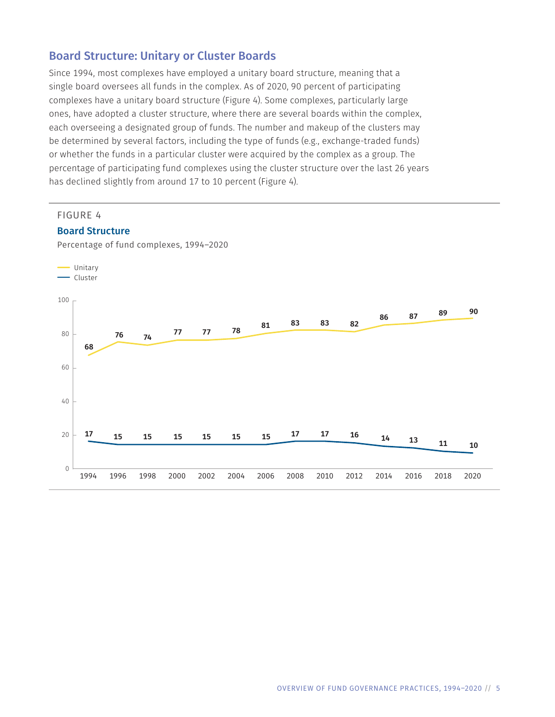# Board Structure: Unitary or Cluster Boards

Since 1994, most complexes have employed a unitary board structure, meaning that a single board oversees all funds in the complex. As of 2020, 90 percent of participating complexes have a unitary board structure (Figure 4). Some complexes, particularly large ones, have adopted a cluster structure, where there are several boards within the complex, each overseeing a designated group of funds. The number and makeup of the clusters may be determined by several factors, including the type of funds (e.g., exchange-traded funds) or whether the funds in a particular cluster were acquired by the complex as a group. The percentage of participating fund complexes using the cluster structure over the last 26 years has declined slightly from around 17 to 10 percent (Figure 4).

#### FIGURE 4

#### Board Structure

Percentage of fund complexes, 1994–2020

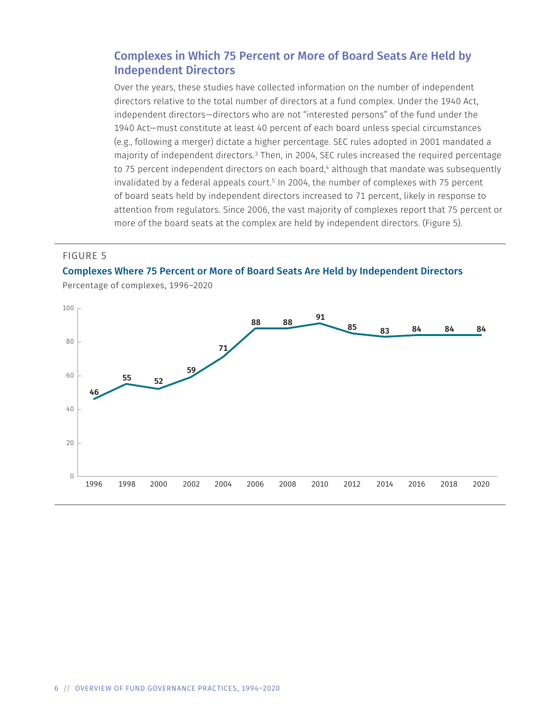# Complexes in Which 75 Percent or More of Board Seats Are Held by Independent Directors

Over the years, these studies have collected information on the number of independent directors relative to the total number of directors at a fund complex. Under the 1940 Act, independent directors—directors who are not "interested persons" of the fund under the 1940 Act—must constitute at least 40 percent of each board unless special circumstances (e.g., following a merger) dictate a higher percentage. SEC rules adopted in 2001 mandated a majority of independent directors.3 Then, in 2004, SEC rules increased the required percentage to 75 percent independent directors on each board,<sup>4</sup> although that mandate was subsequently invalidated by a federal appeals court.<sup>5</sup> In 2004, the number of complexes with 75 percent of board seats held by independent directors increased to 71 percent, likely in response to attention from regulators. Since 2006, the vast majority of complexes report that 75 percent or more of the board seats at the complex are held by independent directors. (Figure 5).

#### FIGURE 5





Percentage of complexes, 1996–2020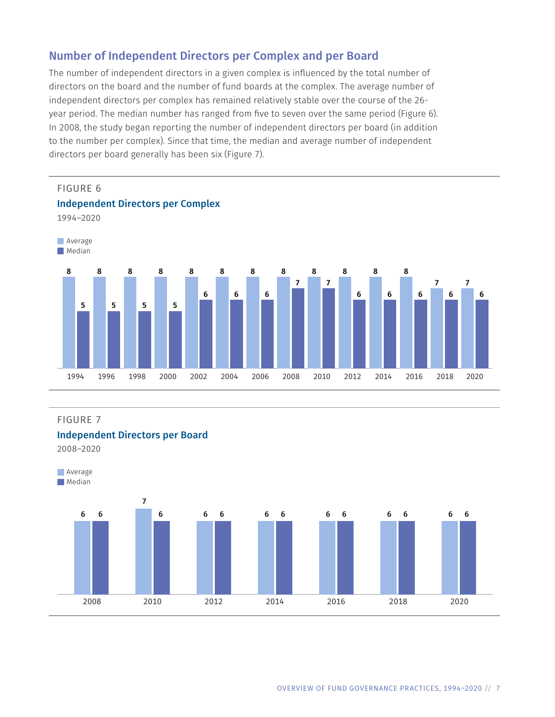# Number of Independent Directors per Complex and per Board

The number of independent directors in a given complex is influenced by the total number of directors on the board and the number of fund boards at the complex. The average number of independent directors per complex has remained relatively stable over the course of the 26year period. The median number has ranged from five to seven over the same period (Figure 6). In 2008, the study began reporting the number of independent directors per board (in addition to the number per complex). Since that time, the median and average number of independent directors per board generally has been six (Figure 7).



#### FIGURE 7

#### Independent Directors per Board

2008–2020

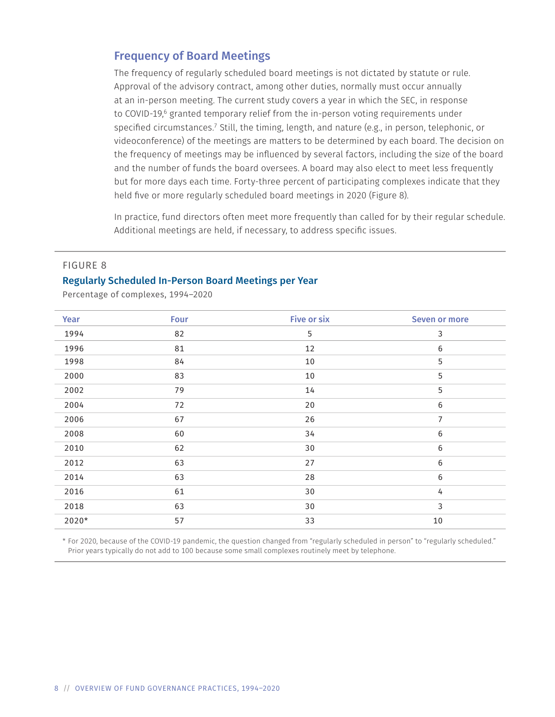### Frequency of Board Meetings

The frequency of regularly scheduled board meetings is not dictated by statute or rule. Approval of the advisory contract, among other duties, normally must occur annually at an in-person meeting. The current study covers a year in which the SEC, in response to COVID-19,<sup>6</sup> granted temporary relief from the in-person voting requirements under specified circumstances.7 Still, the timing, length, and nature (e.g., in person, telephonic, or videoconference) of the meetings are matters to be determined by each board. The decision on the frequency of meetings may be influenced by several factors, including the size of the board and the number of funds the board oversees. A board may also elect to meet less frequently but for more days each time. Forty-three percent of participating complexes indicate that they held five or more regularly scheduled board meetings in 2020 (Figure 8).

In practice, fund directors often meet more frequently than called for by their regular schedule. Additional meetings are held, if necessary, to address specific issues.

#### FIGURE 8

#### Regularly Scheduled In-Person Board Meetings per Year

Percentage of complexes, 1994–2020

| Year  | Four | <b>Five or six</b> | <b>Seven or more</b> |
|-------|------|--------------------|----------------------|
| 1994  | 82   | 5                  | 3                    |
| 1996  | 81   | 12                 | 6                    |
| 1998  | 84   | 10                 | 5                    |
| 2000  | 83   | 10                 | 5                    |
| 2002  | 79   | 14                 | 5                    |
| 2004  | 72   | 20                 | $6\,$                |
| 2006  | 67   | 26                 | 7                    |
| 2008  | 60   | 34                 | $6\,$                |
| 2010  | 62   | 30                 | 6                    |
| 2012  | 63   | 27                 | 6                    |
| 2014  | 63   | 28                 | 6                    |
| 2016  | 61   | 30                 | 4                    |
| 2018  | 63   | 30                 | 3                    |
| 2020* | 57   | 33                 | $10\,$               |

\* For 2020, because of the COVID-19 pandemic, the question changed from "regularly scheduled in person" to "regularly scheduled." Prior years typically do not add to 100 because some small complexes routinely meet by telephone.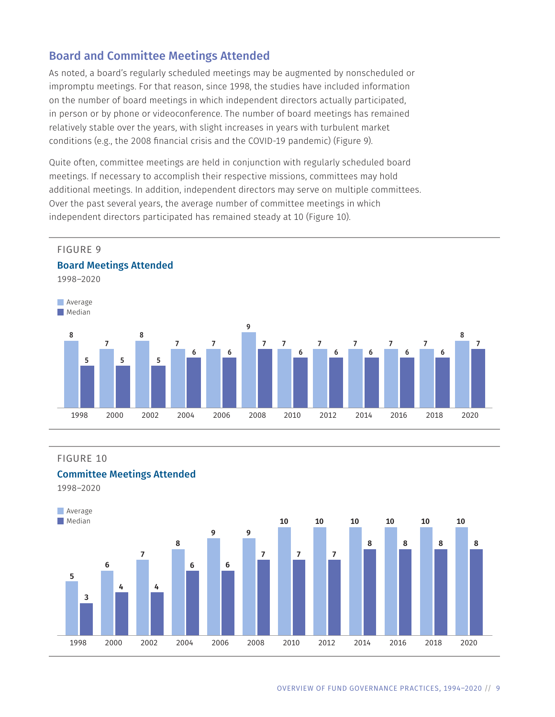# Board and Committee Meetings Attended

As noted, a board's regularly scheduled meetings may be augmented by nonscheduled or impromptu meetings. For that reason, since 1998, the studies have included information on the number of board meetings in which independent directors actually participated, in person or by phone or videoconference. The number of board meetings has remained relatively stable over the years, with slight increases in years with turbulent market conditions (e.g., the 2008 financial crisis and the COVID-19 pandemic) (Figure 9).

Quite often, committee meetings are held in conjunction with regularly scheduled board meetings. If necessary to accomplish their respective missions, committees may hold additional meetings. In addition, independent directors may serve on multiple committees. Over the past several years, the average number of committee meetings in which independent directors participated has remained steady at 10 (Figure 10).



#### FIGURE 10

#### Committee Meetings Attended

1998–2020

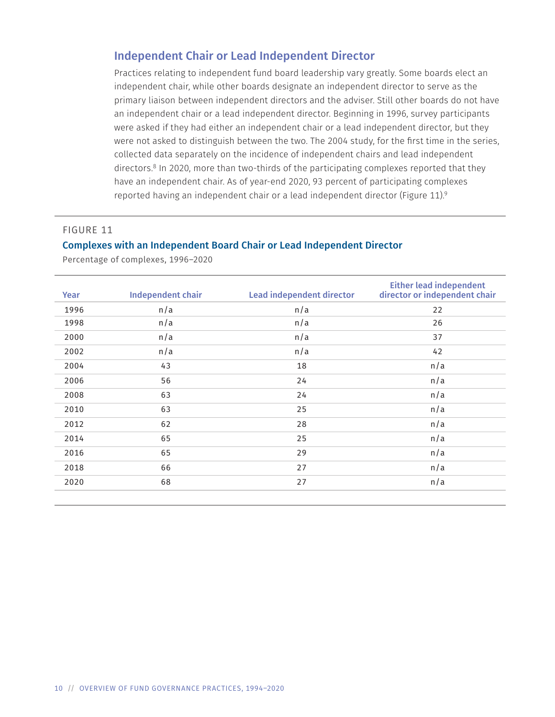# Independent Chair or Lead Independent Director

Practices relating to independent fund board leadership vary greatly. Some boards elect an independent chair, while other boards designate an independent director to serve as the primary liaison between independent directors and the adviser. Still other boards do not have an independent chair or a lead independent director. Beginning in 1996, survey participants were asked if they had either an independent chair or a lead independent director, but they were not asked to distinguish between the two. The 2004 study, for the first time in the series, collected data separately on the incidence of independent chairs and lead independent directors.<sup>8</sup> In 2020, more than two-thirds of the participating complexes reported that they have an independent chair. As of year-end 2020, 93 percent of participating complexes reported having an independent chair or a lead independent director (Figure 11).<sup>9</sup>

#### FIGURE 11

#### Complexes with an Independent Board Chair or Lead Independent Director

| Year | <b>Independent chair</b> | <b>Lead independent director</b> | <b>Either lead independent</b><br>director or independent chair |
|------|--------------------------|----------------------------------|-----------------------------------------------------------------|
| 1996 | n/a                      | n/a                              | 22                                                              |
| 1998 | n/a                      | n/a                              | 26                                                              |
| 2000 | n/a                      | n/a                              | 37                                                              |
| 2002 | n/a                      | n/a                              | 42                                                              |
| 2004 | 43                       | 18                               | n/a                                                             |
| 2006 | 56                       | 24                               | n/a                                                             |
| 2008 | 63                       | 24                               | n/a                                                             |
| 2010 | 63                       | 25                               | n/a                                                             |
| 2012 | 62                       | 28                               | n/a                                                             |
| 2014 | 65                       | 25                               | n/a                                                             |
| 2016 | 65                       | 29                               | n/a                                                             |
| 2018 | 66                       | 27                               | n/a                                                             |
| 2020 | 68                       | 27                               | n/a                                                             |
|      |                          |                                  |                                                                 |

Percentage of complexes, 1996–2020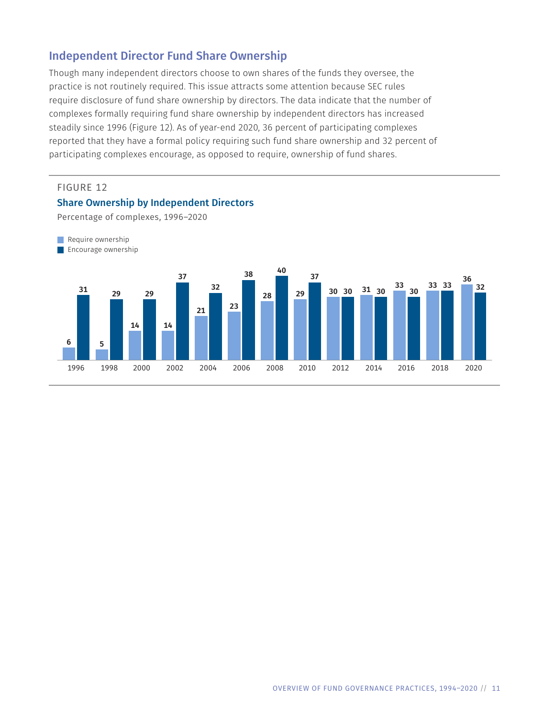# Independent Director Fund Share Ownership

Though many independent directors choose to own shares of the funds they oversee, the practice is not routinely required. This issue attracts some attention because SEC rules require disclosure of fund share ownership by directors. The data indicate that the number of complexes formally requiring fund share ownership by independent directors has increased steadily since 1996 (Figure 12). As of year-end 2020, 36 percent of participating complexes reported that they have a formal policy requiring such fund share ownership and 32 percent of participating complexes encourage, as opposed to require, ownership of fund shares.

#### FIGURE 12

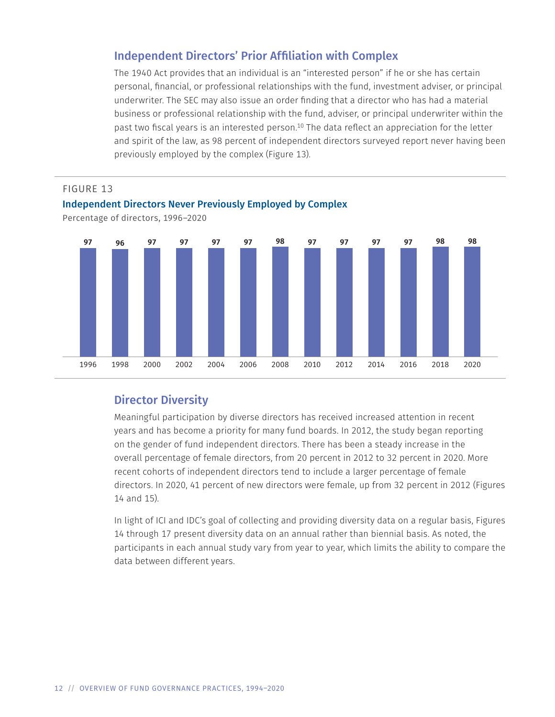# Independent Directors' Prior Affiliation with Complex

The 1940 Act provides that an individual is an "interested person" if he or she has certain personal, financial, or professional relationships with the fund, investment adviser, or principal underwriter. The SEC may also issue an order finding that a director who has had a material business or professional relationship with the fund, adviser, or principal underwriter within the past two fiscal years is an interested person.10 The data reflect an appreciation for the letter and spirit of the law, as 98 percent of independent directors surveyed report never having been previously employed by the complex (Figure 13).



# Director Diversity

Meaningful participation by diverse directors has received increased attention in recent years and has become a priority for many fund boards. In 2012, the study began reporting on the gender of fund independent directors. There has been a steady increase in the overall percentage of female directors, from 20 percent in 2012 to 32 percent in 2020. More recent cohorts of independent directors tend to include a larger percentage of female directors. In 2020, 41 percent of new directors were female, up from 32 percent in 2012 (Figures 14 and 15).

In light of ICI and IDC's goal of collecting and providing diversity data on a regular basis, Figures 14 through 17 present diversity data on an annual rather than biennial basis. As noted, the participants in each annual study vary from year to year, which limits the ability to compare the data between different years.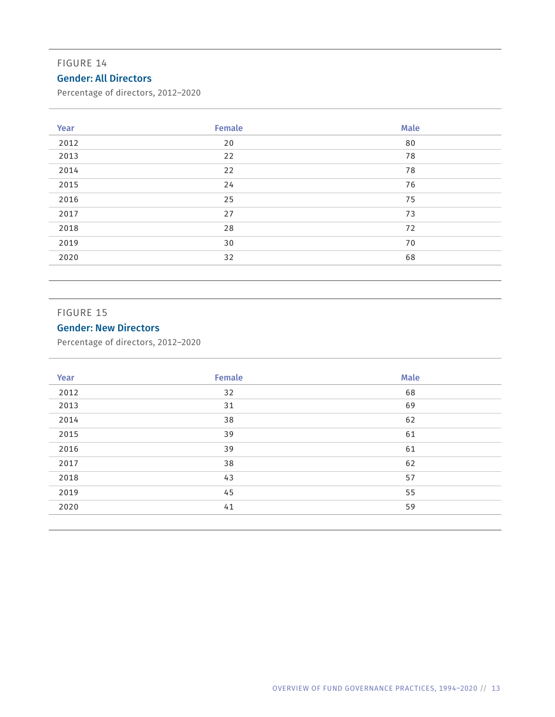#### FIGURE 14

# Gender: All Directors

Percentage of directors, 2012–2020

| Year | <b>Female</b> | <b>Male</b> |
|------|---------------|-------------|
| 2012 | 20            | 80          |
| 2013 | 22            | 78          |
| 2014 | 22            | 78          |
| 2015 | 24            | 76          |
| 2016 | 25            | 75          |
| 2017 | 27            | 73          |
| 2018 | 28            | 72          |
| 2019 | 30            | 70          |
| 2020 | 32            | 68          |
|      |               |             |

#### FIGURE 15

# Gender: New Directors

Percentage of directors, 2012–2020

| Year | Female | <b>Male</b> |
|------|--------|-------------|
| 2012 | 32     | 68          |
| 2013 | 31     | 69          |
| 2014 | 38     | 62          |
| 2015 | 39     | 61          |
| 2016 | 39     | 61          |
| 2017 | 38     | 62          |
| 2018 | 43     | 57          |
| 2019 | 45     | 55          |
| 2020 | 41     | 59          |
|      |        |             |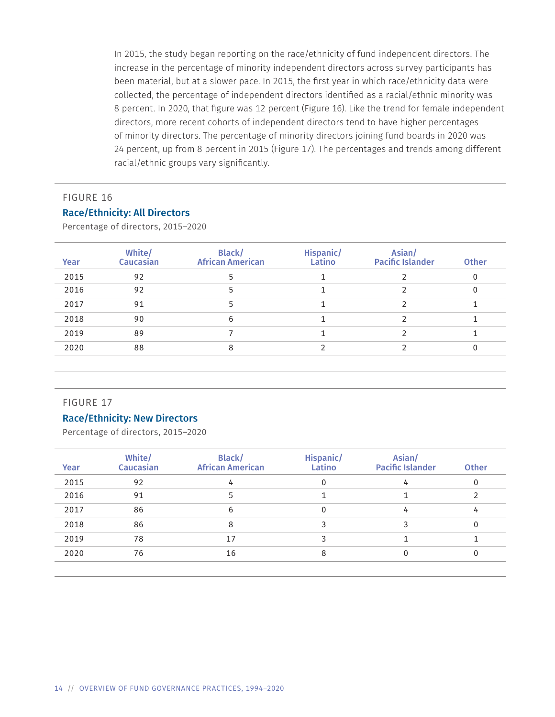In 2015, the study began reporting on the race/ethnicity of fund independent directors. The increase in the percentage of minority independent directors across survey participants has been material, but at a slower pace. In 2015, the first year in which race/ethnicity data were collected, the percentage of independent directors identified as a racial/ethnic minority was 8 percent. In 2020, that figure was 12 percent (Figure 16). Like the trend for female independent directors, more recent cohorts of independent directors tend to have higher percentages of minority directors. The percentage of minority directors joining fund boards in 2020 was 24 percent, up from 8 percent in 2015 (Figure 17). The percentages and trends among different racial/ethnic groups vary significantly.

# FIGURE 16 Race/Ethnicity: All Directors

Percentage of directors, 2015–2020

| Year | White/<br><b>Caucasian</b> | Black/<br><b>African American</b> | Hispanic/<br>Latino | Asian/<br><b>Pacific Islander</b> | <b>Other</b> |
|------|----------------------------|-----------------------------------|---------------------|-----------------------------------|--------------|
| 2015 | 92                         |                                   |                     |                                   | 0            |
| 2016 | 92                         |                                   |                     |                                   | $\mathbf{0}$ |
| 2017 | 91                         |                                   |                     |                                   |              |
| 2018 | 90                         | 6                                 |                     |                                   |              |
| 2019 | 89                         |                                   |                     |                                   |              |
| 2020 | 88                         | 8                                 |                     |                                   | 0            |
|      |                            |                                   |                     |                                   |              |

#### FIGURE 17

#### Race/Ethnicity: New Directors

Percentage of directors, 2015–2020

| Year | White/<br><b>Caucasian</b> | Black/<br><b>African American</b> | Hispanic/<br>Latino | Asian/<br><b>Pacific Islander</b> | <b>Other</b> |
|------|----------------------------|-----------------------------------|---------------------|-----------------------------------|--------------|
| 2015 | 92                         |                                   | 0                   |                                   |              |
| 2016 | 91                         |                                   |                     |                                   |              |
| 2017 | 86                         | 6                                 | 0                   | 4                                 | 4            |
| 2018 | 86                         | 8                                 |                     |                                   |              |
| 2019 | 78                         | 17                                |                     |                                   |              |
| 2020 | 76                         | 16                                | 8                   |                                   |              |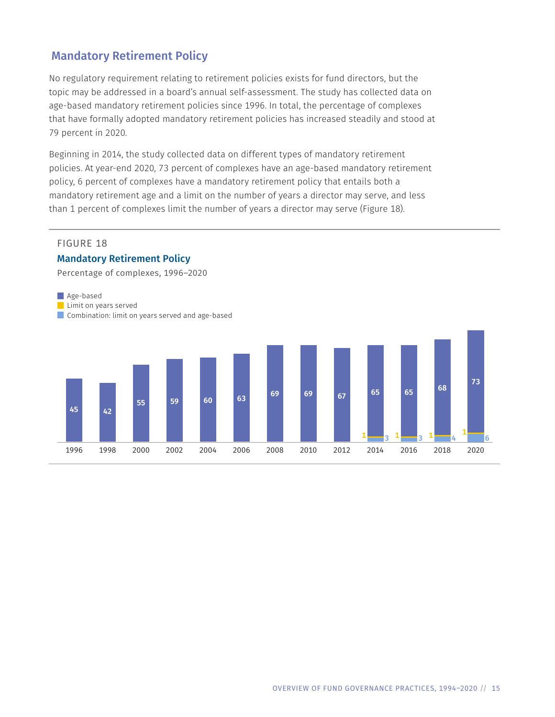# Mandatory Retirement Policy

No regulatory requirement relating to retirement policies exists for fund directors, but the topic may be addressed in a board's annual self-assessment. The study has collected data on age-based mandatory retirement policies since 1996. In total, the percentage of complexes that have formally adopted mandatory retirement policies has increased steadily and stood at 79 percent in 2020.

Beginning in 2014, the study collected data on different types of mandatory retirement policies. At year-end 2020, 73 percent of complexes have an age-based mandatory retirement policy, 6 percent of complexes have a mandatory retirement policy that entails both a mandatory retirement age and a limit on the number of years a director may serve, and less than 1 percent of complexes limit the number of years a director may serve (Figure 18).

#### FIGURE 18

Age-based

#### Mandatory Retirement Policy

Percentage of complexes, 1996–2020

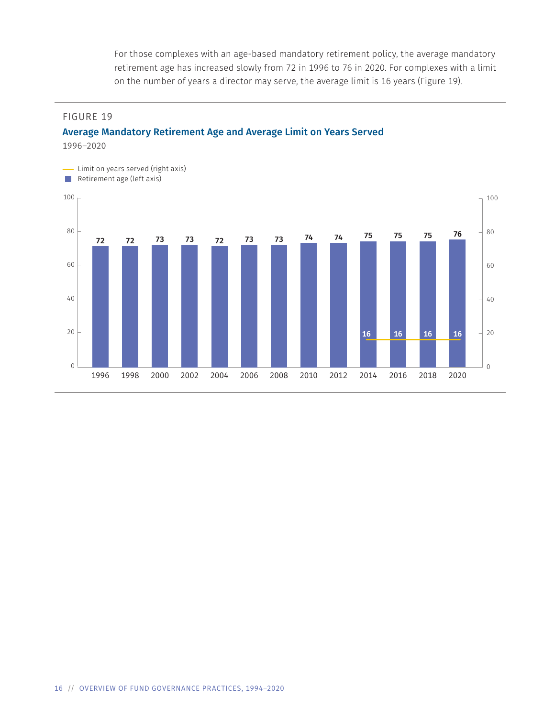For those complexes with an age-based mandatory retirement policy, the average mandatory retirement age has increased slowly from 72 in 1996 to 76 in 2020. For complexes with a limit on the number of years a director may serve, the average limit is 16 years (Figure 19).

#### FIGURE 19

# Average Mandatory Retirement Age and Average Limit on Years Served

1996–2020

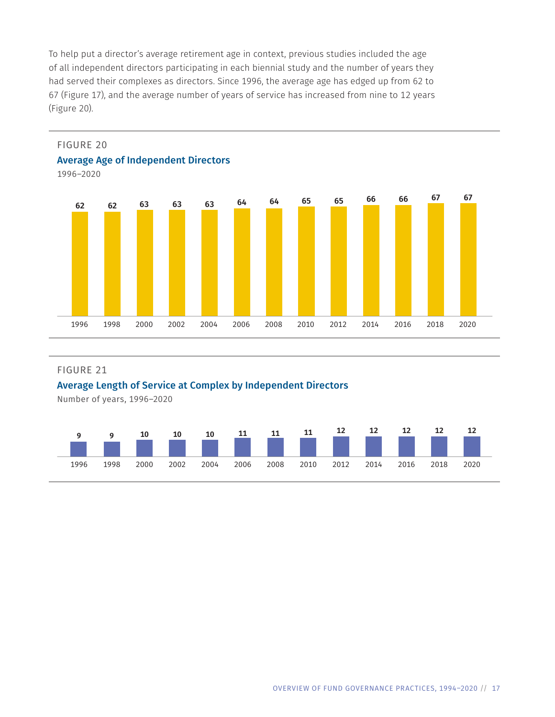To help put a director's average retirement age in context, previous studies included the age of all independent directors participating in each biennial study and the number of years they had served their complexes as directors. Since 1996, the average age has edged up from 62 to 67 (Figure 17), and the average number of years of service has increased from nine to 12 years (Figure 20).



#### FIGURE 21

#### Average Length of Service at Complex by Independent Directors

Number of years, 1996–2020

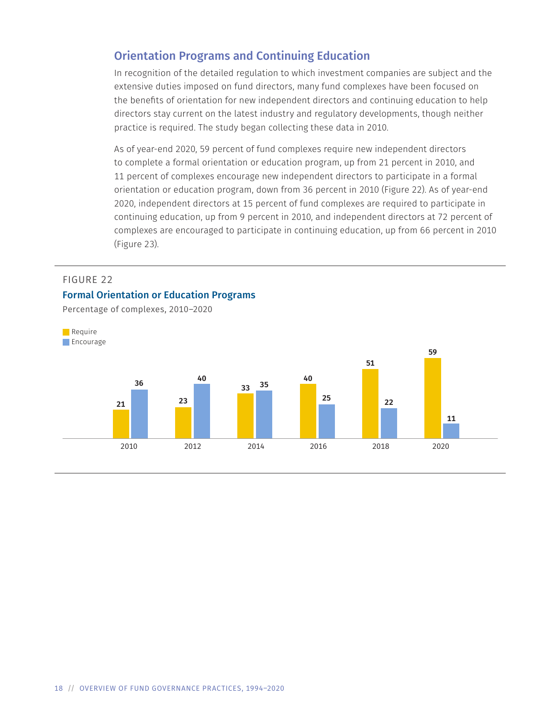# Orientation Programs and Continuing Education

In recognition of the detailed regulation to which investment companies are subject and the extensive duties imposed on fund directors, many fund complexes have been focused on the benefits of orientation for new independent directors and continuing education to help directors stay current on the latest industry and regulatory developments, though neither practice is required. The study began collecting these data in 2010.

As of year-end 2020, 59 percent of fund complexes require new independent directors to complete a formal orientation or education program, up from 21 percent in 2010, and 11 percent of complexes encourage new independent directors to participate in a formal orientation or education program, down from 36 percent in 2010 (Figure 22). As of year-end 2020, independent directors at 15 percent of fund complexes are required to participate in continuing education, up from 9 percent in 2010, and independent directors at 72 percent of complexes are encouraged to participate in continuing education, up from 66 percent in 2010 (Figure 23).

#### FIGURE 22

#### Formal Orientation or Education Programs

Percentage of complexes, 2010–2020

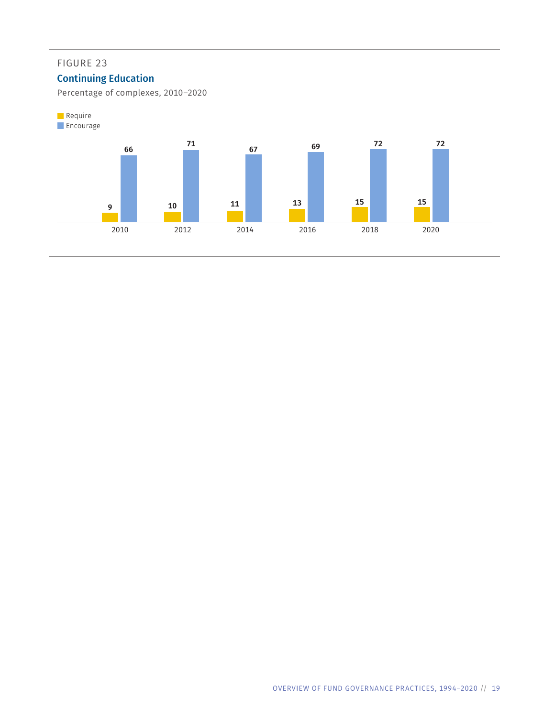# FIGURE 23

# Continuing Education

Percentage of complexes, 2010–2020

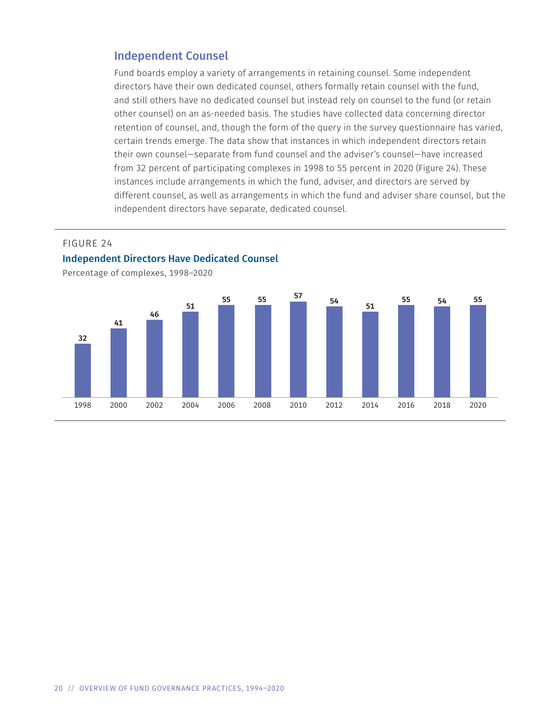### Independent Counsel

Fund boards employ a variety of arrangements in retaining counsel. Some independent directors have their own dedicated counsel, others formally retain counsel with the fund, and still others have no dedicated counsel but instead rely on counsel to the fund (or retain other counsel) on an as-needed basis. The studies have collected data concerning director retention of counsel, and, though the form of the query in the survey questionnaire has varied, certain trends emerge. The data show that instances in which independent directors retain their own counsel—separate from fund counsel and the adviser's counsel—have increased from 32 percent of participating complexes in 1998 to 55 percent in 2020 (Figure 24). These instances include arrangements in which the fund, adviser, and directors are served by different counsel, as well as arrangements in which the fund and adviser share counsel, but the independent directors have separate, dedicated counsel.

#### FIGURE 24



Percentage of complexes, 1998–2020

Independent Directors Have Dedicated Counsel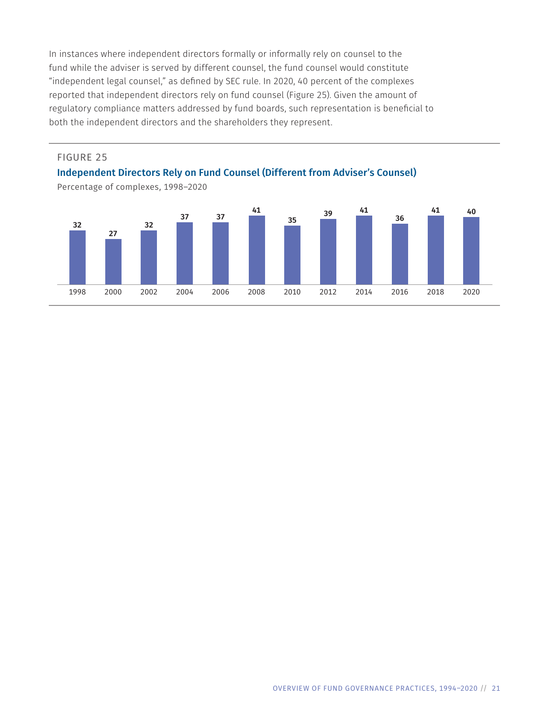In instances where independent directors formally or informally rely on counsel to the fund while the adviser is served by different counsel, the fund counsel would constitute "independent legal counsel," as defined by SEC rule. In 2020, 40 percent of the complexes reported that independent directors rely on fund counsel (Figure 25). Given the amount of regulatory compliance matters addressed by fund boards, such representation is beneficial to both the independent directors and the shareholders they represent.

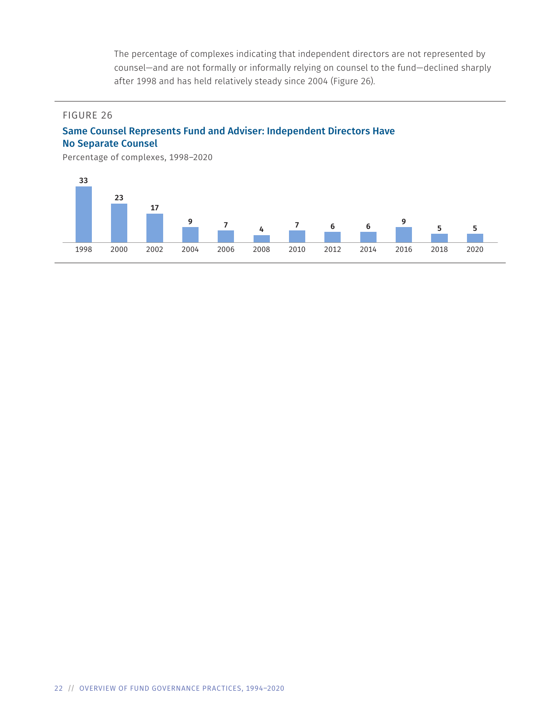The percentage of complexes indicating that independent directors are not represented by counsel—and are not formally or informally relying on counsel to the fund—declined sharply after 1998 and has held relatively steady since 2004 (Figure 26).

#### FIGURE 26

### Same Counsel Represents Fund and Adviser: Independent Directors Have No Separate Counsel

Percentage of complexes, 1998–2020

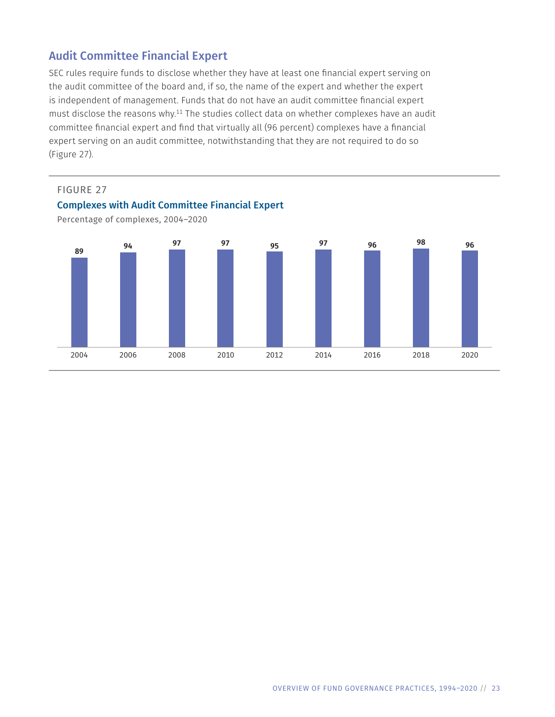# Audit Committee Financial Expert

SEC rules require funds to disclose whether they have at least one financial expert serving on the audit committee of the board and, if so, the name of the expert and whether the expert is independent of management. Funds that do not have an audit committee financial expert must disclose the reasons why.<sup>11</sup> The studies collect data on whether complexes have an audit committee financial expert and find that virtually all (96 percent) complexes have a financial expert serving on an audit committee, notwithstanding that they are not required to do so (Figure 27).



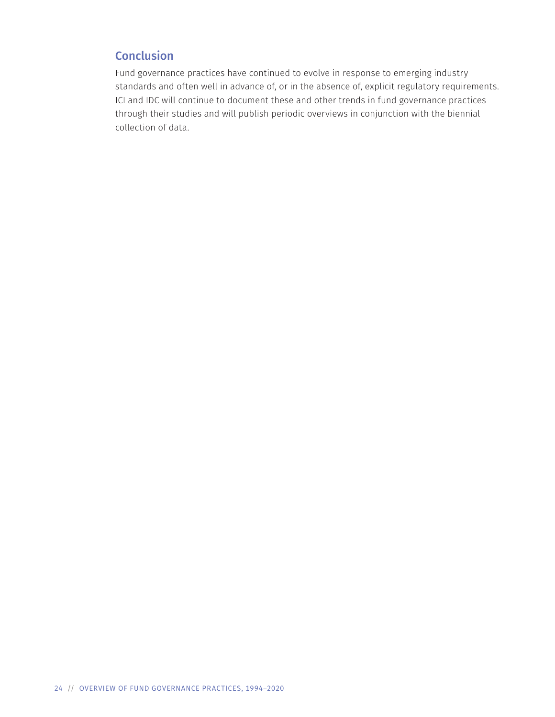# **Conclusion**

Fund governance practices have continued to evolve in response to emerging industry standards and often well in advance of, or in the absence of, explicit regulatory requirements. ICI and IDC will continue to document these and other trends in fund governance practices through their studies and will publish periodic overviews in conjunction with the biennial collection of data.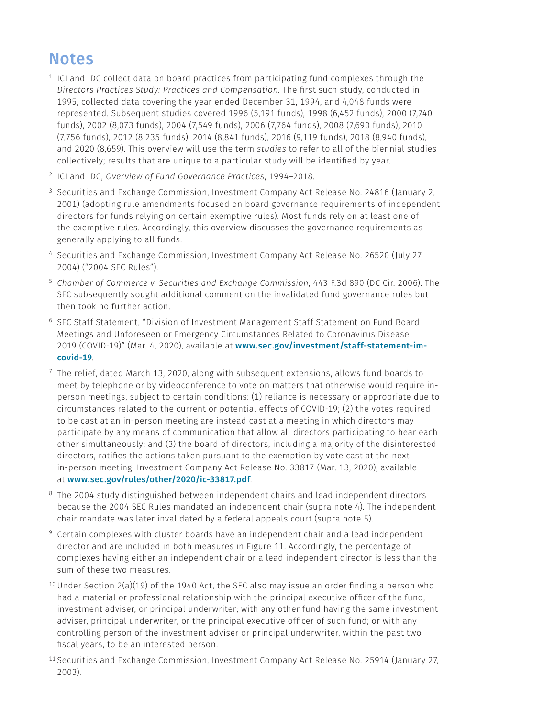# **Notes**

- $1$  ICI and IDC collect data on board practices from participating fund complexes through the *Directors Practices Study: Practices and Compensation*. The first such study, conducted in 1995, collected data covering the year ended December 31, 1994, and 4,048 funds were represented. Subsequent studies covered 1996 (5,191 funds), 1998 (6,452 funds), 2000 (7,740 funds), 2002 (8,073 funds), 2004 (7,549 funds), 2006 (7,764 funds), 2008 (7,690 funds), 2010 (7,756 funds), 2012 (8,235 funds), 2014 (8,841 funds), 2016 (9,119 funds), 2018 (8,940 funds), and 2020 (8,659). This overview will use the term *studies* to refer to all of the biennial studies collectively; results that are unique to a particular study will be identified by year.
- 2 ICI and IDC, *Overview of Fund Governance Practices*, 1994–2018.
- <sup>3</sup> Securities and Exchange Commission, Investment Company Act Release No. 24816 (January 2, 2001) (adopting rule amendments focused on board governance requirements of independent directors for funds relying on certain exemptive rules). Most funds rely on at least one of the exemptive rules. Accordingly, this overview discusses the governance requirements as generally applying to all funds.
- 4 Securities and Exchange Commission, Investment Company Act Release No. 26520 (July 27, 2004) ("2004 SEC Rules").
- <sup>5</sup>*Chamber of Commerce v. Securities and Exchange Commission*, 443 F.3d 890 (DC Cir. 2006). The SEC subsequently sought additional comment on the invalidated fund governance rules but then took no further action.
- <sup>6</sup> SEC Staff Statement, "Division of Investment Management Staff Statement on Fund Board Meetings and Unforeseen or Emergency Circumstances Related to Coronavirus Disease 2019 (COVID-19)" (Mar. 4, 2020), available at [www.sec.gov/investment/staff-statement-im](https://www.sec.gov/investment/staff-statement-im-covid-19)[covid-19](https://www.sec.gov/investment/staff-statement-im-covid-19).
- $7$  The relief, dated March 13, 2020, along with subsequent extensions, allows fund boards to meet by telephone or by videoconference to vote on matters that otherwise would require inperson meetings, subject to certain conditions: (1) reliance is necessary or appropriate due to circumstances related to the current or potential effects of COVID-19; (2) the votes required to be cast at an in-person meeting are instead cast at a meeting in which directors may participate by any means of communication that allow all directors participating to hear each other simultaneously; and (3) the board of directors, including a majority of the disinterested directors, ratifies the actions taken pursuant to the exemption by vote cast at the next in-person meeting. Investment Company Act Release No. 33817 (Mar. 13, 2020), available at [www.sec.gov/rules/other/2020/ic-33817.pdf](https://www.sec.gov/rules/other/2020/ic-33817.pdf).
- <sup>8</sup> The 2004 study distinguished between independent chairs and lead independent directors because the 2004 SEC Rules mandated an independent chair (supra note 4). The independent chair mandate was later invalidated by a federal appeals court (supra note 5).
- 9 Certain complexes with cluster boards have an independent chair and a lead independent director and are included in both measures in Figure 11. Accordingly, the percentage of complexes having either an independent chair or a lead independent director is less than the sum of these two measures.
- <sup>10</sup> Under Section 2(a)(19) of the 1940 Act, the SEC also may issue an order finding a person who had a material or professional relationship with the principal executive officer of the fund, investment adviser, or principal underwriter; with any other fund having the same investment adviser, principal underwriter, or the principal executive officer of such fund; or with any controlling person of the investment adviser or principal underwriter, within the past two fiscal years, to be an interested person.
- <sup>11</sup> Securities and Exchange Commission, Investment Company Act Release No. 25914 (January 27, 2003).